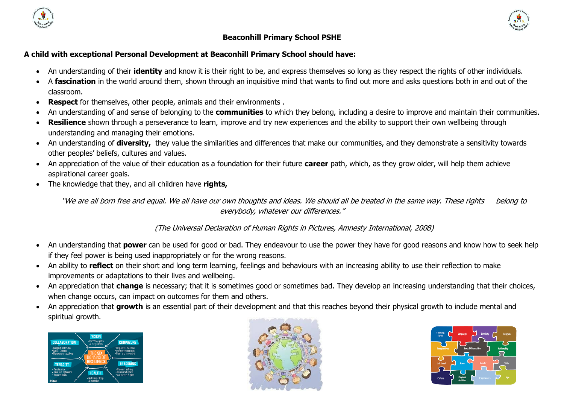



## **Beaconhill Primary School PSHE**

## **A child with exceptional Personal Development at Beaconhill Primary School should have:**

- An understanding of their **identity** and know it is their right to be, and express themselves so long as they respect the rights of other individuals.
- A **fascination** in the world around them, shown through an inquisitive mind that wants to find out more and asks questions both in and out of the classroom.
- **Respect** for themselves, other people, animals and their environments .
- An understanding of and sense of belonging to the **communities** to which they belong, including a desire to improve and maintain their communities.
- **Resilience** shown through a perseverance to learn, improve and try new experiences and the ability to support their own wellbeing through understanding and managing their emotions.
- An understanding of **diversity,** they value the similarities and differences that make our communities, and they demonstrate a sensitivity towards other peoples' beliefs, cultures and values.
- An appreciation of the value of their education as a foundation for their future **career** path, which, as they grow older, will help them achieve aspirational career goals.
- The knowledge that they, and all children have **rights,**

"We are all born free and equal. We all have our own thoughts and ideas. We should all be treated in the same way. These rights belong to everybody, whatever our differences."

(The Universal Declaration of Human Rights in Pictures, Amnesty International, 2008)

- An understanding that **power** can be used for good or bad. They endeavour to use the power they have for good reasons and know how to seek help if they feel power is being used inappropriately or for the wrong reasons.
- An ability to **reflect** on their short and long term learning, feelings and behaviours with an increasing ability to use their reflection to make improvements or adaptations to their lives and wellbeing.
- An appreciation that **change** is necessary; that it is sometimes good or sometimes bad. They develop an increasing understanding that their choices, when change occurs, can impact on outcomes for them and others.
- An appreciation that **growth** is an essential part of their development and that this reaches beyond their physical growth to include mental and spiritual growth.





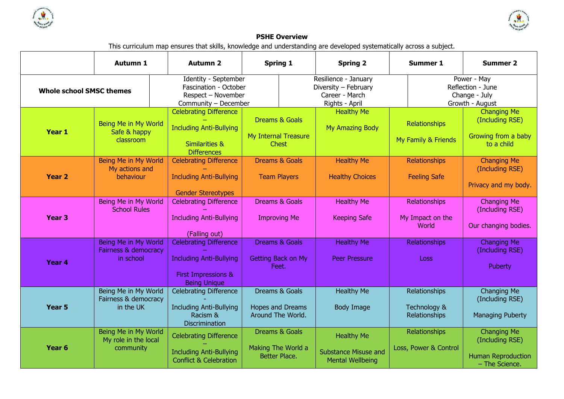



## **PSHE Overview**

This curriculum map ensures that skills, knowledge and understanding are developed systematically across a subject.

|                                 | <b>Autumn 1</b>                                           | <b>Autumn 2</b>                                                                                               | <b>Spring 1</b>                                                   | <b>Spring 2</b>                                                                  | <b>Summer 1</b>                                | <b>Summer 2</b>                                                                      |  |
|---------------------------------|-----------------------------------------------------------|---------------------------------------------------------------------------------------------------------------|-------------------------------------------------------------------|----------------------------------------------------------------------------------|------------------------------------------------|--------------------------------------------------------------------------------------|--|
| <b>Whole school SMSC themes</b> |                                                           | Identity - September<br>Fascination - October<br>Respect - November<br>Community - December                   |                                                                   | Resilience - January<br>Diversity - February<br>Career - March<br>Rights - April |                                                | Power - May<br>Reflection - June<br>Change - July<br>Growth - August                 |  |
| Year 1                          | Being Me in My World<br>Safe & happy<br>classroom         | <b>Celebrating Difference</b><br><b>Including Anti-Bullying</b><br>Similarities &<br><b>Differences</b>       | <b>Dreams &amp; Goals</b><br>My Internal Treasure<br><b>Chest</b> | <b>Healthy Me</b><br>My Amazing Body                                             | Relationships<br>My Family & Friends           | <b>Changing Me</b><br>(Including RSE)<br>Growing from a baby<br>to a child           |  |
| <b>Year 2</b>                   | Being Me in My World<br>My actions and<br>behaviour       | <b>Celebrating Difference</b><br><b>Including Anti-Bullying</b><br><b>Gender Stereotypes</b>                  | <b>Dreams &amp; Goals</b><br><b>Team Players</b>                  | <b>Healthy Me</b><br><b>Healthy Choices</b>                                      | Relationships<br><b>Feeling Safe</b>           | <b>Changing Me</b><br>(Including RSE)<br>Privacy and my body.                        |  |
| Year <sub>3</sub>               | Being Me in My World<br><b>School Rules</b>               | <b>Celebrating Difference</b><br><b>Including Anti-Bullying</b><br>(Falling out)                              | Dreams & Goals<br><b>Improving Me</b>                             | <b>Healthy Me</b><br><b>Keeping Safe</b>                                         | Relationships<br>My Impact on the<br>World     | Changing Me<br>(Including RSE)<br>Our changing bodies.                               |  |
| Year 4                          | Being Me in My World<br>Fairness & democracy<br>in school | <b>Celebrating Difference</b><br><b>Including Anti-Bullying</b><br>First Impressions &<br><b>Being Unique</b> | <b>Dreams &amp; Goals</b><br>Getting Back on My<br>Feet.          | <b>Healthy Me</b><br><b>Peer Pressure</b>                                        | Relationships<br>Loss                          | <b>Changing Me</b><br>(Including RSE)<br>Puberty                                     |  |
| Year 5                          | Being Me in My World<br>Fairness & democracy<br>in the UK | <b>Celebrating Difference</b><br><b>Including Anti-Bullying</b><br>Racism &<br><b>Discrimination</b>          | Dreams & Goals<br><b>Hopes and Dreams</b><br>Around The World.    | <b>Healthy Me</b><br><b>Body Image</b>                                           | Relationships<br>Technology &<br>Relationships | Changing Me<br>(Including RSE)<br><b>Managing Puberty</b>                            |  |
| Year <sub>6</sub>               | Being Me in My World<br>My role in the local<br>community | <b>Celebrating Difference</b><br><b>Including Anti-Bullying</b><br><b>Conflict &amp; Celebration</b>          | Dreams & Goals<br>Making The World a<br>Better Place.             | <b>Healthy Me</b><br><b>Substance Misuse and</b><br><b>Mental Wellbeing</b>      | Relationships<br>Loss, Power & Control         | <b>Changing Me</b><br>(Including RSE)<br><b>Human Reproduction</b><br>- The Science. |  |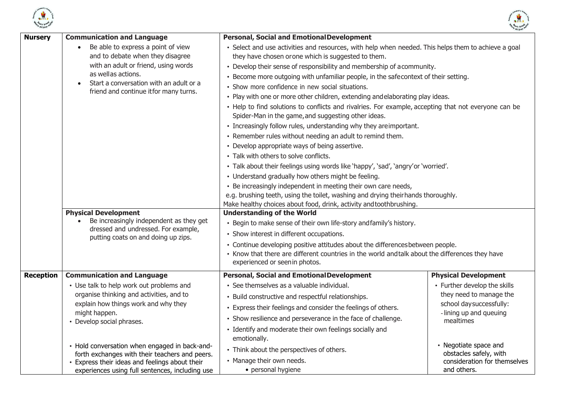



| <b>Nursery</b>   | <b>Communication and Language</b>                                                               | <b>Personal, Social and Emotional Development</b>                                                                                                           |                                                    |  |  |  |
|------------------|-------------------------------------------------------------------------------------------------|-------------------------------------------------------------------------------------------------------------------------------------------------------------|----------------------------------------------------|--|--|--|
|                  | Be able to express a point of view<br>and to debate when they disagree                          | • Select and use activities and resources, with help when needed. This helps them to achieve a goal<br>they have chosen orone which is suggested to them.   |                                                    |  |  |  |
|                  | with an adult or friend, using words                                                            | • Develop their sense of responsibility and membership of acommunity.                                                                                       |                                                    |  |  |  |
|                  | as wellas actions.                                                                              | • Become more outgoing with unfamiliar people, in the safecontext of their setting.                                                                         |                                                    |  |  |  |
|                  | Start a conversation with an adult or a<br>$\bullet$                                            | • Show more confidence in new social situations.                                                                                                            |                                                    |  |  |  |
|                  | friend and continue it for many turns.                                                          |                                                                                                                                                             |                                                    |  |  |  |
|                  |                                                                                                 | • Play with one or more other children, extending andelaborating play ideas.                                                                                |                                                    |  |  |  |
|                  |                                                                                                 | • Help to find solutions to conflicts and rivalries. For example, accepting that not everyone can be<br>Spider-Man in the game, and suggesting other ideas. |                                                    |  |  |  |
|                  |                                                                                                 | • Increasingly follow rules, understanding why they areimportant.                                                                                           |                                                    |  |  |  |
|                  |                                                                                                 | • Remember rules without needing an adult to remind them.                                                                                                   |                                                    |  |  |  |
|                  |                                                                                                 | • Develop appropriate ways of being assertive.                                                                                                              |                                                    |  |  |  |
|                  |                                                                                                 | • Talk with others to solve conflicts.                                                                                                                      |                                                    |  |  |  |
|                  |                                                                                                 | . Talk about their feelings using words like 'happy', 'sad', 'angry' or 'worried'.                                                                          |                                                    |  |  |  |
|                  |                                                                                                 | • Understand gradually how others might be feeling.                                                                                                         |                                                    |  |  |  |
|                  |                                                                                                 | • Be increasingly independent in meeting their own care needs,                                                                                              |                                                    |  |  |  |
|                  |                                                                                                 | e.g. brushing teeth, using the toilet, washing and drying their hands thoroughly.                                                                           |                                                    |  |  |  |
|                  |                                                                                                 | Make healthy choices about food, drink, activity and toothbrushing.                                                                                         |                                                    |  |  |  |
|                  | <b>Physical Development</b><br>Be increasingly independent as they get                          | <b>Understanding of the World</b>                                                                                                                           |                                                    |  |  |  |
|                  | dressed and undressed. For example,                                                             | • Begin to make sense of their own life-story and family's history.                                                                                         |                                                    |  |  |  |
|                  | putting coats on and doing up zips.                                                             | • Show interest in different occupations.                                                                                                                   |                                                    |  |  |  |
|                  |                                                                                                 | • Continue developing positive attitudes about the differences between people.                                                                              |                                                    |  |  |  |
|                  |                                                                                                 | • Know that there are different countries in the world andtalk about the differences they have<br>experienced or seen in photos.                            |                                                    |  |  |  |
|                  |                                                                                                 |                                                                                                                                                             |                                                    |  |  |  |
| <b>Reception</b> | <b>Communication and Language</b>                                                               | <b>Personal, Social and Emotional Development</b>                                                                                                           | <b>Physical Development</b>                        |  |  |  |
|                  | • Use talk to help work out problems and                                                        | • See themselves as a valuable individual.                                                                                                                  | • Further develop the skills                       |  |  |  |
|                  | organise thinking and activities, and to                                                        | • Build constructive and respectful relationships.                                                                                                          | they need to manage the                            |  |  |  |
|                  | explain how things work and why they<br>might happen.                                           | • Express their feelings and consider the feelings of others.                                                                                               | school day successfully:<br>-lining up and queuing |  |  |  |
|                  | • Develop social phrases.                                                                       | • Show resilience and perseverance in the face of challenge.                                                                                                | mealtimes                                          |  |  |  |
|                  |                                                                                                 | • Identify and moderate their own feelings socially and                                                                                                     |                                                    |  |  |  |
|                  |                                                                                                 | emotionally.                                                                                                                                                | • Negotiate space and                              |  |  |  |
|                  | • Hold conversation when engaged in back-and-<br>forth exchanges with their teachers and peers. | • Think about the perspectives of others.                                                                                                                   | obstacles safely, with                             |  |  |  |
|                  | Express their ideas and feelings about their                                                    | • Manage their own needs.                                                                                                                                   | consideration for themselves                       |  |  |  |
|                  | experiences using full sentences, including use                                                 | • personal hygiene                                                                                                                                          | and others.                                        |  |  |  |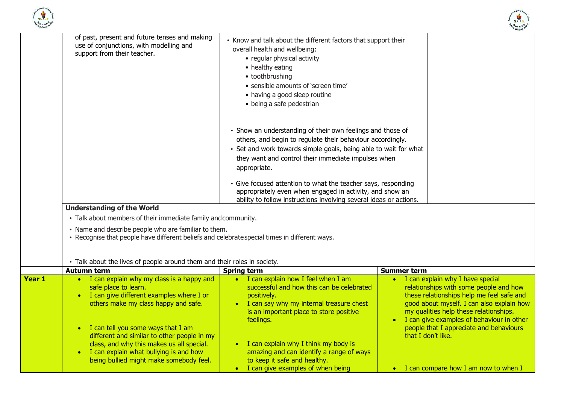



|        | of past, present and future tenses and making<br>use of conjunctions, with modelling and<br>support from their teacher.                                                                                                                                                                                                                                                          | • Know and talk about the different factors that support their<br>overall health and wellbeing:<br>• regular physical activity<br>• healthy eating<br>• toothbrushing<br>• sensible amounts of 'screen time'<br>• having a good sleep routine                                                                                                                                                                                 |                                                                                                                                                                                                                                                                                                                                  |  |  |  |
|--------|----------------------------------------------------------------------------------------------------------------------------------------------------------------------------------------------------------------------------------------------------------------------------------------------------------------------------------------------------------------------------------|-------------------------------------------------------------------------------------------------------------------------------------------------------------------------------------------------------------------------------------------------------------------------------------------------------------------------------------------------------------------------------------------------------------------------------|----------------------------------------------------------------------------------------------------------------------------------------------------------------------------------------------------------------------------------------------------------------------------------------------------------------------------------|--|--|--|
|        |                                                                                                                                                                                                                                                                                                                                                                                  | • being a safe pedestrian<br>• Show an understanding of their own feelings and those of<br>others, and begin to regulate their behaviour accordingly.<br>• Set and work towards simple goals, being able to wait for what<br>they want and control their immediate impulses when<br>appropriate.<br>· Give focused attention to what the teacher says, responding<br>appropriately even when engaged in activity, and show an |                                                                                                                                                                                                                                                                                                                                  |  |  |  |
|        | <b>Understanding of the World</b><br>• Talk about members of their immediate family and community.<br>• Name and describe people who are familiar to them.<br>• Recognise that people have different beliefs and celebratespecial times in different ways.                                                                                                                       | ability to follow instructions involving several ideas or actions.                                                                                                                                                                                                                                                                                                                                                            |                                                                                                                                                                                                                                                                                                                                  |  |  |  |
|        | • Talk about the lives of people around them and their roles in society.                                                                                                                                                                                                                                                                                                         |                                                                                                                                                                                                                                                                                                                                                                                                                               |                                                                                                                                                                                                                                                                                                                                  |  |  |  |
|        | <b>Autumn term</b>                                                                                                                                                                                                                                                                                                                                                               | <b>Spring term</b>                                                                                                                                                                                                                                                                                                                                                                                                            | <b>Summer term</b>                                                                                                                                                                                                                                                                                                               |  |  |  |
| Year 1 | • I can explain why my class is a happy and<br>safe place to learn.<br>• I can give different examples where I or<br>others make my class happy and safe.<br>I can tell you some ways that I am<br>different and similar to other people in my<br>class, and why this makes us all special.<br>I can explain what bullying is and how<br>being bullied might make somebody feel. | • I can explain how I feel when I am<br>successful and how this can be celebrated<br>positively.<br>• I can say why my internal treasure chest<br>is an important place to store positive<br>feelings.<br>• I can explain why I think my body is<br>amazing and can identify a range of ways<br>to keep it safe and healthy.                                                                                                  | • I can explain why I have special<br>relationships with some people and how<br>these relationships help me feel safe and<br>good about myself. I can also explain how<br>my qualities help these relationships.<br>• I can give examples of behaviour in other<br>people that I appreciate and behaviours<br>that I don't like. |  |  |  |
|        |                                                                                                                                                                                                                                                                                                                                                                                  | • I can give examples of when being                                                                                                                                                                                                                                                                                                                                                                                           | • I can compare how I am now to when I                                                                                                                                                                                                                                                                                           |  |  |  |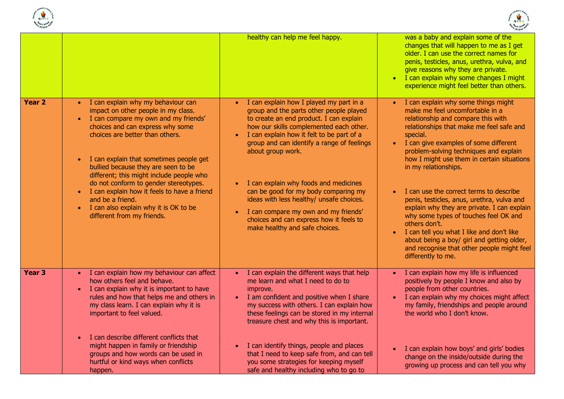



|                   |                                                                                                                                                                                                                                                                                                                                                                                                                                                                                                                                       | healthy can help me feel happy.                                                                                                                                                                                                                                                                                                                                                                                                                                                                                                                         | was a baby and explain some of the<br>changes that will happen to me as I get<br>older. I can use the correct names for<br>penis, testicles, anus, urethra, vulva, and<br>give reasons why they are private.<br>I can explain why some changes I might<br>experience might feel better than others.                                                                                                                                                                                                                                                                                                                                                                                                                                   |
|-------------------|---------------------------------------------------------------------------------------------------------------------------------------------------------------------------------------------------------------------------------------------------------------------------------------------------------------------------------------------------------------------------------------------------------------------------------------------------------------------------------------------------------------------------------------|---------------------------------------------------------------------------------------------------------------------------------------------------------------------------------------------------------------------------------------------------------------------------------------------------------------------------------------------------------------------------------------------------------------------------------------------------------------------------------------------------------------------------------------------------------|---------------------------------------------------------------------------------------------------------------------------------------------------------------------------------------------------------------------------------------------------------------------------------------------------------------------------------------------------------------------------------------------------------------------------------------------------------------------------------------------------------------------------------------------------------------------------------------------------------------------------------------------------------------------------------------------------------------------------------------|
| Year <sub>2</sub> | I can explain why my behaviour can<br>impact on other people in my class.<br>I can compare my own and my friends'<br>$\bullet$<br>choices and can express why some<br>choices are better than others.<br>I can explain that sometimes people get<br>$\bullet$<br>bullied because they are seen to be<br>different; this might include people who<br>do not conform to gender stereotypes.<br>• I can explain how it feels to have a friend<br>and be a friend.<br>I can also explain why it is OK to be<br>different from my friends. | I can explain how I played my part in a<br>$\bullet$<br>group and the parts other people played<br>to create an end product. I can explain<br>how our skills complemented each other.<br>I can explain how it felt to be part of a<br>group and can identify a range of feelings<br>about group work.<br>I can explain why foods and medicines<br>can be good for my body comparing my<br>ideas with less healthy/ unsafe choices.<br>I can compare my own and my friends'<br>choices and can express how it feels to<br>make healthy and safe choices. | I can explain why some things might<br>$\bullet$<br>make me feel uncomfortable in a<br>relationship and compare this with<br>relationships that make me feel safe and<br>special.<br>I can give examples of some different<br>$\bullet$<br>problem-solving techniques and explain<br>how I might use them in certain situations<br>in my relationships.<br>I can use the correct terms to describe<br>$\bullet$<br>penis, testicles, anus, urethra, vulva and<br>explain why they are private. I can explain<br>why some types of touches feel OK and<br>others don't.<br>I can tell you what I like and don't like<br>about being a boy/ girl and getting older,<br>and recognise that other people might feel<br>differently to me. |
| Year 3            | I can explain how my behaviour can affect<br>how others feel and behave.<br>• I can explain why it is important to have<br>rules and how that helps me and others in<br>my class learn. I can explain why it is<br>important to feel valued.<br>I can describe different conflicts that<br>$\bullet$<br>might happen in family or friendship                                                                                                                                                                                          | I can explain the different ways that help<br>me learn and what I need to do to<br>improve.<br>I am confident and positive when I share<br>my success with others. I can explain how<br>these feelings can be stored in my internal<br>treasure chest and why this is important.<br>I can identify things, people and places                                                                                                                                                                                                                            | I can explain how my life is influenced<br>positively by people I know and also by<br>people from other countries.<br>I can explain why my choices might affect<br>my family, friendships and people around<br>the world who I don't know.<br>I can explain how boys' and girls' bodies<br>$\bullet$                                                                                                                                                                                                                                                                                                                                                                                                                                  |
|                   | groups and how words can be used in<br>hurtful or kind ways when conflicts<br>happen.                                                                                                                                                                                                                                                                                                                                                                                                                                                 | that I need to keep safe from, and can tell<br>you some strategies for keeping myself<br>safe and healthy including who to go to                                                                                                                                                                                                                                                                                                                                                                                                                        | change on the inside/outside during the<br>growing up process and can tell you why                                                                                                                                                                                                                                                                                                                                                                                                                                                                                                                                                                                                                                                    |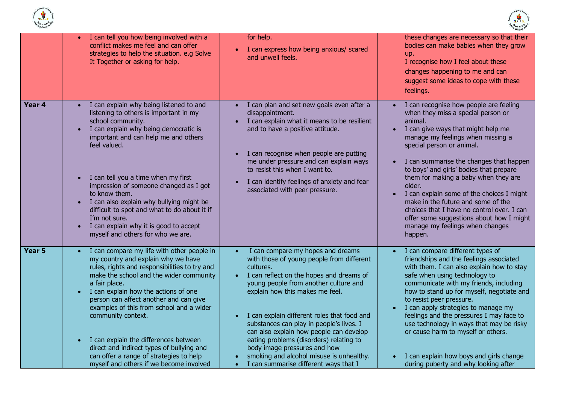



|                   | I can tell you how being involved with a<br>$\bullet$<br>conflict makes me feel and can offer<br>strategies to help the situation. e.g Solve<br>It Together or asking for help.                                                                                                                                                                                                                                                                                                                                                                                        | for help.<br>I can express how being anxious/ scared<br>$\bullet$<br>and unwell feels.                                                                                                                                                                                                                                                                                                                                                                                                                                                              | these changes are necessary so that their<br>bodies can make babies when they grow<br>up.<br>I recognise how I feel about these<br>changes happening to me and can<br>suggest some ideas to cope with these<br>feelings.                                                                                                                                                                                                                                                                                                                                           |
|-------------------|------------------------------------------------------------------------------------------------------------------------------------------------------------------------------------------------------------------------------------------------------------------------------------------------------------------------------------------------------------------------------------------------------------------------------------------------------------------------------------------------------------------------------------------------------------------------|-----------------------------------------------------------------------------------------------------------------------------------------------------------------------------------------------------------------------------------------------------------------------------------------------------------------------------------------------------------------------------------------------------------------------------------------------------------------------------------------------------------------------------------------------------|--------------------------------------------------------------------------------------------------------------------------------------------------------------------------------------------------------------------------------------------------------------------------------------------------------------------------------------------------------------------------------------------------------------------------------------------------------------------------------------------------------------------------------------------------------------------|
| Year 4            | I can explain why being listened to and<br>$\bullet$<br>listening to others is important in my<br>school community.<br>I can explain why being democratic is<br>$\bullet$<br>important and can help me and others<br>feel valued.<br>I can tell you a time when my first<br>$\bullet$<br>impression of someone changed as I got<br>to know them.<br>I can also explain why bullying might be<br>$\bullet$<br>difficult to spot and what to do about it if<br>I'm not sure.<br>I can explain why it is good to accept<br>$\bullet$<br>myself and others for who we are. | I can plan and set new goals even after a<br>$\bullet$<br>disappointment.<br>I can explain what it means to be resilient<br>and to have a positive attitude.<br>I can recognise when people are putting<br>me under pressure and can explain ways<br>to resist this when I want to.<br>I can identify feelings of anxiety and fear<br>$\bullet$<br>associated with peer pressure.                                                                                                                                                                   | I can recognise how people are feeling<br>when they miss a special person or<br>animal.<br>I can give ways that might help me<br>manage my feelings when missing a<br>special person or animal.<br>I can summarise the changes that happen<br>to boys' and girls' bodies that prepare<br>them for making a baby when they are<br>older.<br>I can explain some of the choices I might<br>make in the future and some of the<br>choices that I have no control over. I can<br>offer some suggestions about how I might<br>manage my feelings when changes<br>happen. |
| Year <sub>5</sub> | I can compare my life with other people in<br>$\bullet$<br>my country and explain why we have<br>rules, rights and responsibilities to try and<br>make the school and the wider community<br>a fair place.<br>I can explain how the actions of one<br>$\bullet$<br>person can affect another and can give<br>examples of this from school and a wider<br>community context.<br>I can explain the differences between<br>$\bullet$<br>direct and indirect types of bullying and<br>can offer a range of strategies to help<br>myself and others if we become involved   | I can compare my hopes and dreams<br>with those of young people from different<br>cultures.<br>I can reflect on the hopes and dreams of<br>young people from another culture and<br>explain how this makes me feel.<br>I can explain different roles that food and<br>$\bullet$<br>substances can play in people's lives. I<br>can also explain how people can develop<br>eating problems (disorders) relating to<br>body image pressures and how<br>smoking and alcohol misuse is unhealthy.<br>I can summarise different ways that I<br>$\bullet$ | I can compare different types of<br>friendships and the feelings associated<br>with them. I can also explain how to stay<br>safe when using technology to<br>communicate with my friends, including<br>how to stand up for myself, negotiate and<br>to resist peer pressure.<br>I can apply strategies to manage my<br>feelings and the pressures I may face to<br>use technology in ways that may be risky<br>or cause harm to myself or others.<br>I can explain how boys and girls change<br>during puberty and why looking after                               |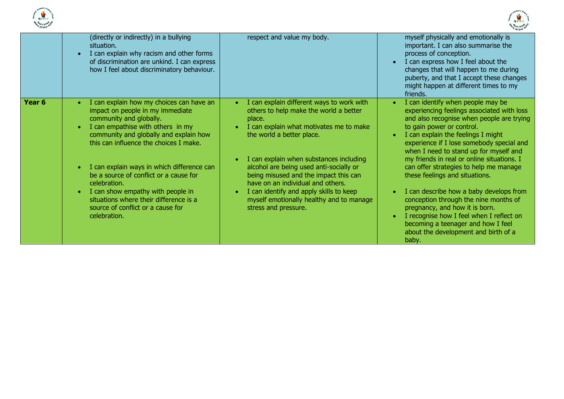



| - children |                                                                                                                                                                                                                                                                                                                                                                                                                                                                                                                                  |                                                                                                                                                                                                                                                                                                                                                                                                                                                          | ere children mo                                                                                                                                                                                                                                                                                                                                                                                                                                                                                                                                                                                                                                                           |
|------------|----------------------------------------------------------------------------------------------------------------------------------------------------------------------------------------------------------------------------------------------------------------------------------------------------------------------------------------------------------------------------------------------------------------------------------------------------------------------------------------------------------------------------------|----------------------------------------------------------------------------------------------------------------------------------------------------------------------------------------------------------------------------------------------------------------------------------------------------------------------------------------------------------------------------------------------------------------------------------------------------------|---------------------------------------------------------------------------------------------------------------------------------------------------------------------------------------------------------------------------------------------------------------------------------------------------------------------------------------------------------------------------------------------------------------------------------------------------------------------------------------------------------------------------------------------------------------------------------------------------------------------------------------------------------------------------|
|            | (directly or indirectly) in a bullying<br>situation.<br>I can explain why racism and other forms<br>$\bullet$<br>of discrimination are unkind. I can express<br>how I feel about discriminatory behaviour.                                                                                                                                                                                                                                                                                                                       | respect and value my body.                                                                                                                                                                                                                                                                                                                                                                                                                               | myself physically and emotionally is<br>important. I can also summarise the<br>process of conception.<br>I can express how I feel about the<br>changes that will happen to me during<br>puberty, and that I accept these changes<br>might happen at different times to my<br>friends.                                                                                                                                                                                                                                                                                                                                                                                     |
| Year 6     | I can explain how my choices can have an<br>$\bullet$<br>impact on people in my immediate<br>community and globally.<br>I can empathise with others in my<br>$\bullet$<br>community and globally and explain how<br>this can influence the choices I make.<br>I can explain ways in which difference can<br>$\bullet$<br>be a source of conflict or a cause for<br>celebration.<br>I can show empathy with people in<br>$\bullet$<br>situations where their difference is a<br>source of conflict or a cause for<br>celebration. | I can explain different ways to work with<br>others to help make the world a better<br>place.<br>I can explain what motivates me to make<br>the world a better place.<br>I can explain when substances including<br>alcohol are being used anti-socially or<br>being misused and the impact this can<br>have on an individual and others.<br>I can identify and apply skills to keep<br>myself emotionally healthy and to manage<br>stress and pressure. | I can identify when people may be<br>experiencing feelings associated with loss<br>and also recognise when people are trying<br>to gain power or control.<br>I can explain the feelings I might<br>experience if I lose somebody special and<br>when I need to stand up for myself and<br>my friends in real or online situations. I<br>can offer strategies to help me manage<br>these feelings and situations.<br>I can describe how a baby develops from<br>conception through the nine months of<br>pregnancy, and how it is born.<br>I recognise how I feel when I reflect on<br>becoming a teenager and how I feel<br>about the development and birth of a<br>baby. |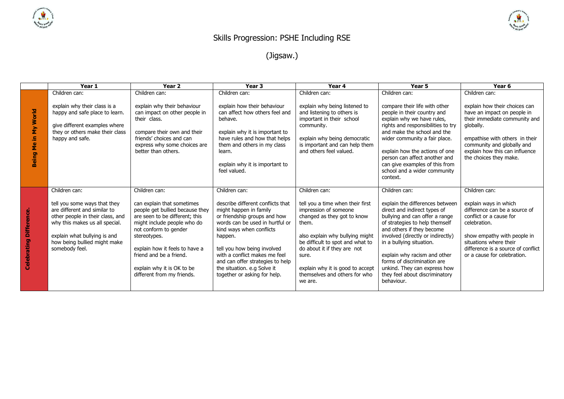

## Skills Progression: PSHE Including RSE

(Jigsaw.)

|                                | Year 1                                                                                                                                                                                                                                | Year <sub>2</sub>                                                                                                                                                                                                                                                                                                 | Year <sub>3</sub>                                                                                                                                                                                                                                                                                                                                         | Year 4                                                                                                                                                                                                                                                                                                            | Year 5                                                                                                                                                                                                                                                                                                                                                                                            | Year <sub>6</sub>                                                                                                                                                                                                                                |
|--------------------------------|---------------------------------------------------------------------------------------------------------------------------------------------------------------------------------------------------------------------------------------|-------------------------------------------------------------------------------------------------------------------------------------------------------------------------------------------------------------------------------------------------------------------------------------------------------------------|-----------------------------------------------------------------------------------------------------------------------------------------------------------------------------------------------------------------------------------------------------------------------------------------------------------------------------------------------------------|-------------------------------------------------------------------------------------------------------------------------------------------------------------------------------------------------------------------------------------------------------------------------------------------------------------------|---------------------------------------------------------------------------------------------------------------------------------------------------------------------------------------------------------------------------------------------------------------------------------------------------------------------------------------------------------------------------------------------------|--------------------------------------------------------------------------------------------------------------------------------------------------------------------------------------------------------------------------------------------------|
|                                | Children can:                                                                                                                                                                                                                         | Children can:                                                                                                                                                                                                                                                                                                     | Children can:                                                                                                                                                                                                                                                                                                                                             | Children can:                                                                                                                                                                                                                                                                                                     | Children can:                                                                                                                                                                                                                                                                                                                                                                                     | Children can:                                                                                                                                                                                                                                    |
| Being Me in My World           | explain why their class is a<br>happy and safe place to learn.<br>give different examples where<br>they or others make their class<br>happy and safe.                                                                                 | explain why their behaviour<br>can impact on other people in<br>their class.<br>compare their own and their<br>friends' choices and can<br>express why some choices are<br>better than others.                                                                                                                    | explain how their behaviour<br>can affect how others feel and<br>behave.<br>explain why it is important to<br>have rules and how that helps<br>them and others in my class<br>learn.<br>explain why it is important to<br>feel valued.                                                                                                                    | explain why being listened to<br>and listening to others is<br>important in their school<br>community.<br>explain why being democratic<br>is important and can help them<br>and others feel valued.                                                                                                               | compare their life with other<br>people in their country and<br>explain why we have rules,<br>rights and responsibilities to try<br>and make the school and the<br>wider community a fair place.<br>explain how the actions of one<br>person can affect another and<br>can give examples of this from<br>school and a wider community<br>context.                                                 | explain how their choices can<br>have an impact on people in<br>their immediate community and<br>globally.<br>empathise with others in their<br>community and globally and<br>explain how this can influence<br>the choices they make.           |
| <b>Celebrating Difference.</b> | Children can:<br>tell you some ways that they<br>are different and similar to<br>other people in their class, and<br>why this makes us all special.<br>explain what bullying is and<br>how being bullied might make<br>somebody feel. | Children can:<br>can explain that sometimes<br>people get bullied because they<br>are seen to be different; this<br>might include people who do<br>not conform to gender<br>stereotypes.<br>explain how it feels to have a<br>friend and be a friend.<br>explain why it is OK to be<br>different from my friends. | Children can:<br>describe different conflicts that<br>might happen in family<br>or friendship groups and how<br>words can be used in hurtful or<br>kind ways when conflicts<br>happen.<br>tell you how being involved<br>with a conflict makes me feel<br>and can offer strategies to help<br>the situation. e.g Solve it<br>together or asking for help. | Children can:<br>tell you a time when their first<br>impression of someone<br>changed as they got to know<br>them.<br>also explain why bullying might<br>be difficult to spot and what to<br>do about it if they are not<br>sure.<br>explain why it is good to accept<br>themselves and others for who<br>we are. | Children can:<br>explain the differences between<br>direct and indirect types of<br>bullying and can offer a range<br>of strategies to help themself<br>and others if they become<br>involved (directly or indirectly)<br>in a bullying situation.<br>explain why racism and other<br>forms of discrimination are<br>unkind. They can express how<br>they feel about discriminatory<br>behaviour. | Children can:<br>explain ways in which<br>difference can be a source of<br>conflict or a cause for<br>celebration.<br>show empathy with people in<br>situations where their<br>difference is a source of conflict<br>or a cause for celebration. |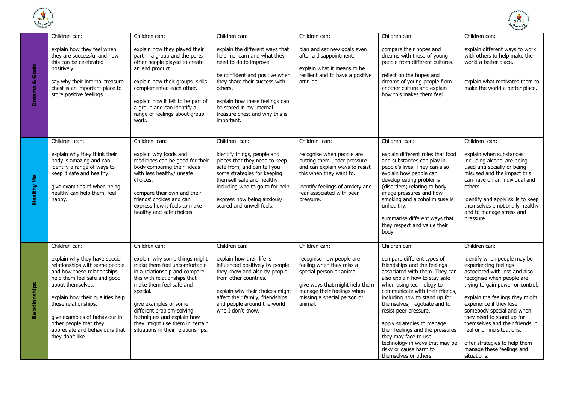



|                           |                                                                                                                                                                                                                                                                                                                                  |                                                                                                                                                                                                                                                                                                                                   |                                                                                                                                                                                                                                                                                      |                                                                                                                                                                                                     |                                                                                                                                                                                                                                                                                                                                                                                                                                                                       | <i>childret</i>                                                                                                                                                                                                                                                                                                                                                                                                              |
|---------------------------|----------------------------------------------------------------------------------------------------------------------------------------------------------------------------------------------------------------------------------------------------------------------------------------------------------------------------------|-----------------------------------------------------------------------------------------------------------------------------------------------------------------------------------------------------------------------------------------------------------------------------------------------------------------------------------|--------------------------------------------------------------------------------------------------------------------------------------------------------------------------------------------------------------------------------------------------------------------------------------|-----------------------------------------------------------------------------------------------------------------------------------------------------------------------------------------------------|-----------------------------------------------------------------------------------------------------------------------------------------------------------------------------------------------------------------------------------------------------------------------------------------------------------------------------------------------------------------------------------------------------------------------------------------------------------------------|------------------------------------------------------------------------------------------------------------------------------------------------------------------------------------------------------------------------------------------------------------------------------------------------------------------------------------------------------------------------------------------------------------------------------|
|                           | Children can:                                                                                                                                                                                                                                                                                                                    | Children can:                                                                                                                                                                                                                                                                                                                     | Children can:                                                                                                                                                                                                                                                                        | Children can:                                                                                                                                                                                       | Children can:                                                                                                                                                                                                                                                                                                                                                                                                                                                         | Children can:                                                                                                                                                                                                                                                                                                                                                                                                                |
| <b>Dreams &amp; Goals</b> | explain how they feel when<br>they are successful and how<br>this can be celebrated<br>positively.<br>say why their internal treasure<br>chest is an important place to<br>store positive feelings.                                                                                                                              | explain how they played their<br>part in a group and the parts<br>other people played to create<br>an end product.<br>explain how their groups skills<br>complemented each other.<br>explain how it felt to be part of<br>a group and can identify a<br>range of feelings about group<br>work.                                    | explain the different ways that<br>help me learn and what they<br>need to do to improve.<br>be confident and positive when<br>they share their success with<br>others.<br>explain how these feelings can<br>be stored in my internal<br>treasure chest and why this is<br>important. | plan and set new goals even<br>after a disappointment.<br>explain what it means to be<br>resilient and to have a positive<br>attitude.                                                              | compare their hopes and<br>dreams with those of young<br>people from different cultures.<br>reflect on the hopes and<br>dreams of young people from<br>another culture and explain<br>how this makes them feel.                                                                                                                                                                                                                                                       | explain different ways to work<br>with others to help make the<br>world a better place.<br>explain what motivates them to<br>make the world a better place.                                                                                                                                                                                                                                                                  |
|                           | Children can:                                                                                                                                                                                                                                                                                                                    | Children can:                                                                                                                                                                                                                                                                                                                     | Children can:                                                                                                                                                                                                                                                                        | Children can:                                                                                                                                                                                       | Children can:                                                                                                                                                                                                                                                                                                                                                                                                                                                         | Children can:                                                                                                                                                                                                                                                                                                                                                                                                                |
| <b>Healthy Me</b>         | explain why they think their<br>body is amazing and can<br>identify a range of ways to<br>keep it safe and healthy.<br>give examples of when being<br>healthy can help them feel<br>happy.                                                                                                                                       | explain why foods and<br>medicines can be good for their<br>body comparing their ideas<br>with less healthy/ unsafe<br>choices.<br>compare their own and their<br>friends' choices and can<br>express how it feels to make<br>healthy and safe choices.                                                                           | identify things, people and<br>places that they need to keep<br>safe from, and can tell you<br>some strategies for keeping<br>themself safe and healthy<br>including who to go to for help.<br>express how being anxious/<br>scared and unwell feels.                                | recognise when people are<br>putting them under pressure<br>and can explain ways to resist<br>this when they want to.<br>identify feelings of anxiety and<br>fear associated with peer<br>pressure. | explain different roles that food<br>and substances can play in<br>people's lives. They can also<br>explain how people can<br>develop eating problems<br>(disorders) relating to body<br>image pressures and how<br>smoking and alcohol misuse is<br>unhealthy.<br>summarise different ways that<br>they respect and value their<br>body.                                                                                                                             | explain when substances<br>including alcohol are being<br>used anti-socially or being<br>misused and the impact this<br>can have on an individual and<br>others.<br>identify and apply skills to keep<br>themselves emotionally healthy<br>and to manage stress and<br>pressure.                                                                                                                                             |
|                           | Children can:                                                                                                                                                                                                                                                                                                                    | Children can:                                                                                                                                                                                                                                                                                                                     | Children can:                                                                                                                                                                                                                                                                        | Children can:                                                                                                                                                                                       | Children can:                                                                                                                                                                                                                                                                                                                                                                                                                                                         | Children can:                                                                                                                                                                                                                                                                                                                                                                                                                |
| Relationships             | explain why they have special<br>relationships with some people<br>and how these relationships<br>help them feel safe and good<br>about themselves.<br>explain how their qualities help<br>these relationships.<br>give examples of behaviour in<br>other people that they<br>appreciate and behaviours that<br>they don't like. | explain why some things might<br>make them feel uncomfortable<br>in a relationship and compare<br>this with relationships that<br>make them feel safe and<br>special.<br>give examples of some<br>different problem-solving<br>techniques and explain how<br>they might use them in certain<br>situations in their relationships. | explain how their life is<br>influenced positively by people<br>they know and also by people<br>from other countries.<br>explain why their choices might<br>affect their family, friendships<br>and people around the world<br>who I don't know.                                     | recognise how people are<br>feeling when they miss a<br>special person or animal.<br>give ways that might help them<br>manage their feelings when<br>missing a special person or<br>animal.         | compare different types of<br>friendships and the feelings<br>associated with them. They can<br>also explain how to stay safe<br>when using technology to<br>communicate with their friends,<br>including how to stand up for<br>themselves, negotiate and to<br>resist peer pressure.<br>apply strategies to manage<br>their feelings and the pressures<br>they may face to use<br>technology in ways that may be<br>risky or cause harm to<br>themselves or others. | identify when people may be<br>experiencing feelings<br>associated with loss and also<br>recognise when people are<br>trying to gain power or control.<br>explain the feelings they might<br>experience if they lose<br>somebody special and when<br>they need to stand up for<br>themselves and their friends in<br>real or online situations.<br>offer strategies to help them<br>manage these feelings and<br>situations. |